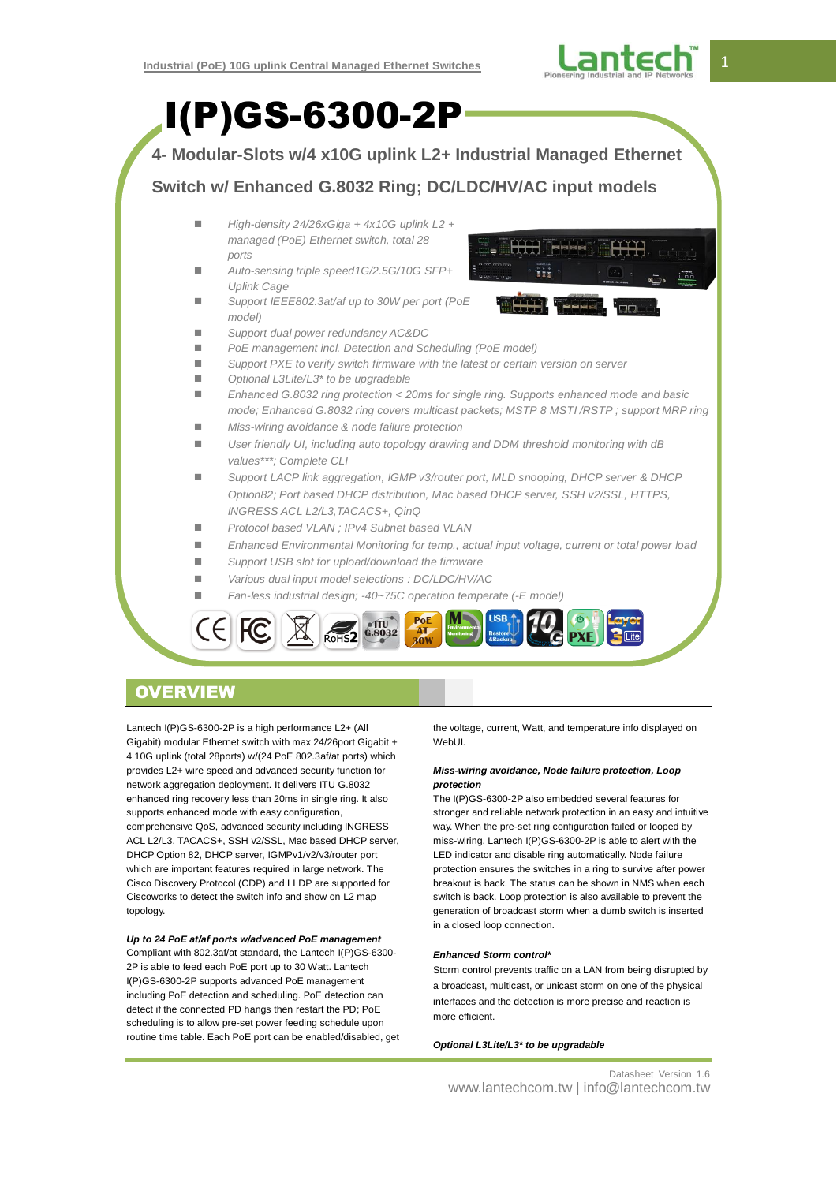

I(P)GS-6300-2P **4- Modular-Slots w/4 x10G uplink L2+ Industrial Managed Ethernet Switch w/ Enhanced G.8032 Ring; DC/LDC/HV/AC input models** *High-density 24/26xGiga + 4x10G uplink L2 + managed (PoE) Ethernet switch, total 28 ports Auto-sensing triple speed1G/2.5G/10G SFP+ Uplink Cage Support IEEE802.3at/af up to 30W per port (PoE model) Support dual power redundancy AC&DC PoE management incl. Detection and Scheduling (PoE model) Support PXE to verify switch firmware with the latest or certain version on server Optional L3Lite/L3\* to be upgradable Enhanced G.8032 ring protection < 20ms for single ring. Supports enhanced mode and basic mode; Enhanced G.8032 ring covers multicast packets; MSTP 8 MSTI /RSTP ; support MRP ring Miss-wiring avoidance & node failure protection User friendly UI, including auto topology drawing and DDM threshold monitoring with dB values\*\*\*; Complete CLI Support LACP link aggregation, IGMP v3/router port, MLD snooping, DHCP server & DHCP Option82; Port based DHCP distribution, Mac based DHCP server, SSH v2/SSL, HTTPS, INGRESS ACL L2/L3,TACACS+, QinQ Protocol based VLAN ; IPv4 Subnet based VLAN Enhanced Environmental Monitoring for temp., actual input voltage, current or total power load Support USB slot for upload/download the firmware Various dual input model selections : DC/LDC/HV/AC Fan-less industrial design; -40~75C operation temperate (-E model)*

# **OVERVIEW**

Lantech I(P)GS-6300-2P is a high performance L2+ (All Gigabit) modular Ethernet switch with max 24/26port Gigabit + 4 10G uplink (total 28ports) w/(24 PoE 802.3af/at ports) which provides L2+ wire speed and advanced security function for network aggregation deployment. It delivers ITU G.8032 enhanced ring recovery less than 20ms in single ring. It also supports enhanced mode with easy configuration, comprehensive QoS, advanced security including INGRESS ACL L2/L3, TACACS+, SSH v2/SSL, Mac based DHCP server, DHCP Option 82, DHCP server, IGMPv1/v2/v3/router port which are important features required in large network. The Cisco Discovery Protocol (CDP) and LLDP are supported for Ciscoworks to detect the switch info and show on L2 map topology.

## *Up to 24 PoE at/af ports w/advanced PoE management*

Compliant with 802.3af/at standard, the Lantech I(P)GS-6300- 2P is able to feed each PoE port up to 30 Watt. Lantech I(P)GS-6300-2P supports advanced PoE management including PoE detection and scheduling. PoE detection can detect if the connected PD hangs then restart the PD; PoE scheduling is to allow pre-set power feeding schedule upon routine time table. Each PoE port can be enabled/disabled, get the voltage, current, Watt, and temperature info displayed on WebUI.

## *Miss-wiring avoidance, Node failure protection, Loop protection*

The I(P)GS-6300-2P also embedded several features for stronger and reliable network protection in an easy and intuitive way. When the pre-set ring configuration failed or looped by miss-wiring, Lantech I(P)GS-6300-2P is able to alert with the LED indicator and disable ring automatically. Node failure protection ensures the switches in a ring to survive after power breakout is back. The status can be shown in NMS when each switch is back. Loop protection is also available to prevent the generation of broadcast storm when a dumb switch is inserted in a closed loop connection.

## *Enhanced Storm control\**

Storm control prevents traffic on a LAN from being disrupted by a broadcast, multicast, or unicast storm on one of the physical interfaces and the detection is more precise and reaction is more efficient.

*Optional L3Lite/L3\* to be upgradable*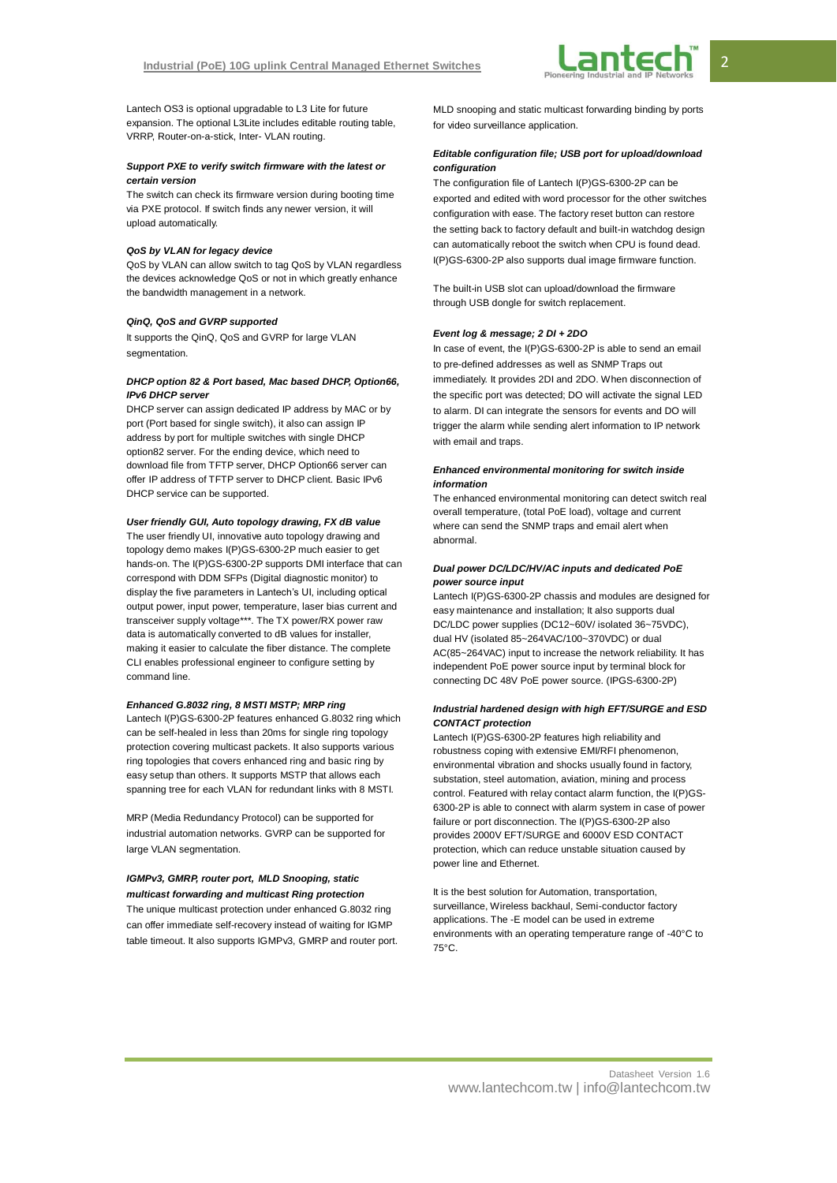Lantech OS3 is optional upgradable to L3 Lite for future expansion. The optional L3Lite includes editable routing table, VRRP, Router-on-a-stick, Inter- VLAN routing.

## *Support PXE to verify switch firmware with the latest or certain version*

The switch can check its firmware version during booting time via PXE protocol. If switch finds any newer version, it will upload automatically.

#### *QoS by VLAN for legacy device*

QoS by VLAN can allow switch to tag QoS by VLAN regardless the devices acknowledge QoS or not in which greatly enhance the bandwidth management in a network.

#### *QinQ, QoS and GVRP supported*

It supports the QinQ, QoS and GVRP for large VLAN segmentation

## *DHCP option 82 & Port based, Mac based DHCP, Option66, IPv6 DHCP server*

DHCP server can assign dedicated IP address by MAC or by port (Port based for single switch), it also can assign IP address by port for multiple switches with single DHCP option82 server. For the ending device, which need to download file from TFTP server, DHCP Option66 server can offer IP address of TFTP server to DHCP client. Basic IPv6 DHCP service can be supported.

## *User friendly GUI, Auto topology drawing, FX dB value*

The user friendly UI, innovative auto topology drawing and topology demo makes I(P)GS-6300-2P much easier to get hands-on. The I(P)GS-6300-2P supports DMI interface that can correspond with DDM SFPs (Digital diagnostic monitor) to display the five parameters in Lantech's UI, including optical output power, input power, temperature, laser bias current and transceiver supply voltage\*\*\*. The TX power/RX power raw data is automatically converted to dB values for installer, making it easier to calculate the fiber distance. The complete CLI enables professional engineer to configure setting by command line.

## *Enhanced G.8032 ring, 8 MSTI MSTP; MRP ring*

Lantech I(P)GS-6300-2P features enhanced G.8032 ring which can be self-healed in less than 20ms for single ring topology protection covering multicast packets. It also supports various ring topologies that covers enhanced ring and basic ring by easy setup than others. It supports MSTP that allows each spanning tree for each VLAN for redundant links with 8 MSTI.

MRP (Media Redundancy Protocol) can be supported for industrial automation networks. GVRP can be supported for large VLAN segmentation.

## *IGMPv3, GMRP, router port, MLD Snooping, static multicast forwarding and multicast Ring protection*

The unique multicast protection under enhanced G.8032 ring can offer immediate self-recovery instead of waiting for IGMP table timeout. It also supports IGMPv3, GMRP and router port. MLD snooping and static multicast forwarding binding by ports for video surveillance application.

## *Editable configuration file; USB port for upload/download configuration*

The configuration file of Lantech I(P)GS-6300-2P can be exported and edited with word processor for the other switches configuration with ease. The factory reset button can restore the setting back to factory default and built-in watchdog design can automatically reboot the switch when CPU is found dead. I(P)GS-6300-2P also supports dual image firmware function.

The built-in USB slot can upload/download the firmware through USB dongle for switch replacement.

#### *Event log & message; 2 DI + 2DO*

In case of event, the I(P)GS-6300-2P is able to send an email to pre-defined addresses as well as SNMP Traps out immediately. It provides 2DI and 2DO. When disconnection of the specific port was detected; DO will activate the signal LED to alarm. DI can integrate the sensors for events and DO will trigger the alarm while sending alert information to IP network with email and traps.

## *Enhanced environmental monitoring for switch inside information*

The enhanced environmental monitoring can detect switch real overall temperature, (total PoE load), voltage and current where can send the SNMP traps and email alert when abnormal.

## *Dual power DC/LDC/HV/AC inputs and dedicated PoE power source input*

Lantech I(P)GS-6300-2P chassis and modules are designed for easy maintenance and installation; It also supports dual DC/LDC power supplies (DC12~60V/ isolated 36~75VDC), dual HV (isolated 85~264VAC/100~370VDC) or dual AC(85~264VAC) input to increase the network reliability. It has independent PoE power source input by terminal block for connecting DC 48V PoE power source. (IPGS-6300-2P)

#### *Industrial hardened design with high EFT/SURGE and ESD CONTACT protection*

Lantech I(P)GS-6300-2P features high reliability and robustness coping with extensive EMI/RFI phenomenon, environmental vibration and shocks usually found in factory, substation, steel automation, aviation, mining and process control. Featured with relay contact alarm function, the I(P)GS-6300-2P is able to connect with alarm system in case of power failure or port disconnection. The I(P)GS-6300-2P also provides 2000V EFT/SURGE and 6000V ESD CONTACT protection, which can reduce unstable situation caused by power line and Ethernet.

It is the best solution for Automation, transportation, surveillance, Wireless backhaul, Semi-conductor factory applications. The -E model can be used in extreme environments with an operating temperature range of -40°C to 75°C.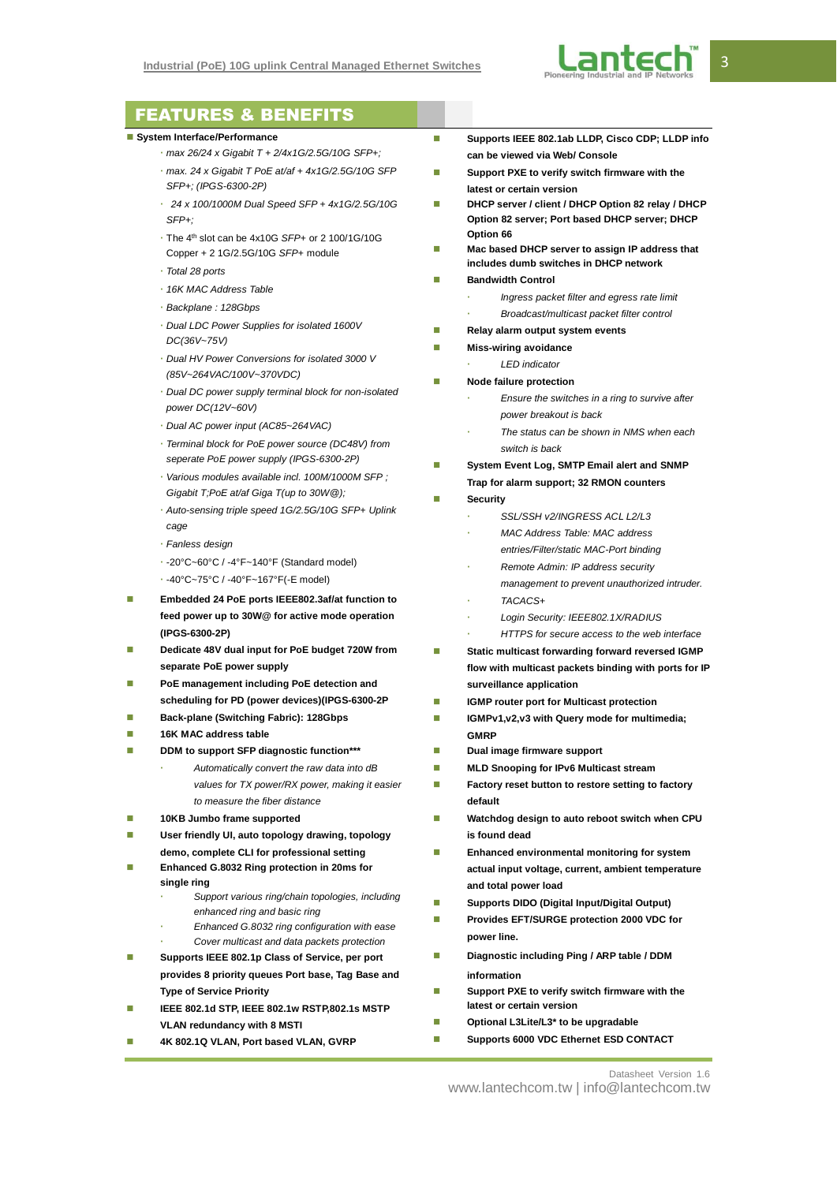

## FEATURES & BENEFITS

### **System Interface/Performance**

- *max 26/24 x Gigabit T + 2/4x1G/2.5G/10G SFP+;*
- *max. 24 x Gigabit T PoE at/af + 4x1G/2.5G/10G SFP SFP+; (IPGS-6300-2P)*
- *24 x 100/1000M Dual Speed SFP + 4x1G/2.5G/10G SFP+;*
- The 4th slot can be 4x10G *SFP+* or 2 100/1G/10G Copper + 2 1G/2.5G/10G *SFP+* module
- *Total 28 ports*
- *16K MAC Address Table*
- *Backplane : 128Gbps*
- *Dual LDC Power Supplies for isolated 1600V DC(36V~75V)*
- *Dual HV Power Conversions for isolated 3000 V (85V~264VAC/100V~370VDC)*
- *Dual DC power supply terminal block for non-isolated power DC(12V~60V)*
- *Dual AC power input (AC85~264VAC)*
- *Terminal block for PoE power source (DC48V) from seperate PoE power supply (IPGS-6300-2P)*
- *Various modules available incl. 100M/1000M SFP ; Gigabit T;PoE at/af Giga T(up to 30W@);*
- *Auto-sensing triple speed 1G/2.5G/10G SFP+ Uplink cage*
- *Fanless design*
- -20°C~60°C / -4°F~140°F (Standard model)
- -40°C~75°C / -40°F~167°F(-E model)
- **Embedded 24 PoE ports IEEE802.3af/at function to feed power up to 30W@ for active mode operation (IPGS-6300-2P)**
- **Dedicate 48V dual input for PoE budget 720W from separate PoE power supply**
- **PoE management including PoE detection and scheduling for PD (power devices)(IPGS-6300-2P**
- **Back-plane (Switching Fabric): 128Gbps**
- **16K MAC address table**
- **DDM to support SFP diagnostic function\*\*\***
	- *Automatically convert the raw data into dB values for TX power/RX power, making it easier to measure the fiber distance*
- **10KB Jumbo frame supported**
- **User friendly UI, auto topology drawing, topology demo, complete CLI for professional setting**
- **Enhanced G.8032 Ring protection in 20ms for single ring**
	- *Support various ring/chain topologies, including enhanced ring and basic ring*
	- *Enhanced G.8032 ring configuration with ease Cover multicast and data packets protection*
- **Supports IEEE 802.1p Class of Service, per port provides 8 priority queues Port base, Tag Base and Type of Service Priority**
- **IEEE 802.1d STP, IEEE 802.1w RSTP,802.1s MSTP VLAN redundancy with 8 MSTI**
- **4K 802.1Q VLAN, Port based VLAN, GVRP**
- Supports IEEE 802.1ab LLDP, Cisco CDP; LLDP info **can be viewed via Web/ Console**
- Support PXE to verify switch firmware with the **latest or certain version**
- **DHCP server / client / DHCP Option 82 relay / DHCP Option 82 server; Port based DHCP server; DHCP Option 66**
- **Mac based DHCP server to assign IP address that includes dumb switches in DHCP network**
- **Bandwidth Control**
	- *Ingress packet filter and egress rate limit*
		- *Broadcast/multicast packet filter control*
- **Relay alarm output system events**
- **Miss-wiring avoidance**
- *LED indicator*
- **Node failure protection** 
	- *Ensure the switches in a ring to survive after power breakout is back*
	- *The status can be shown in NMS when each switch is back*
- **System Event Log, SMTP Email alert and SNMP Trap for alarm support; 32 RMON counters**
- **Security** 
	- *SSL/SSH v2/INGRESS ACL L2/L3*
	- *MAC Address Table: MAC address*
	- *entries/Filter/static MAC-Port binding*
	- *Remote Admin: IP address security management to prevent unauthorized intruder.*
	- *TACACS+*
	- *Login Security: IEEE802.1X/RADIUS*
	- *HTTPS for secure access to the web interface*
- **Static multicast forwarding forward reversed IGMP flow with multicast packets binding with ports for IP surveillance application**
- **IGMP router port for Multicast protection**
- **IGMPv1,v2,v3 with Query mode for multimedia; GMRP**
- **Dual image firmware support**
- **MLD Snooping for IPv6 Multicast stream**
- **Factory reset button to restore setting to factory default**
- **Watchdog design to auto reboot switch when CPU is found dead**
- **Enhanced environmental monitoring for system actual input voltage, current, ambient temperature and total power load**
- **Supports DIDO (Digital Input/Digital Output)**
- **Provides EFT/SURGE protection 2000 VDC for power line.**
- **Diagnostic including Ping / ARP table / DDM information**
- Support PXE to verify switch firmware with the **latest or certain version**
- **Optional L3Lite/L3\* to be upgradable**
- **Supports 6000 VDC Ethernet ESD CONTACT**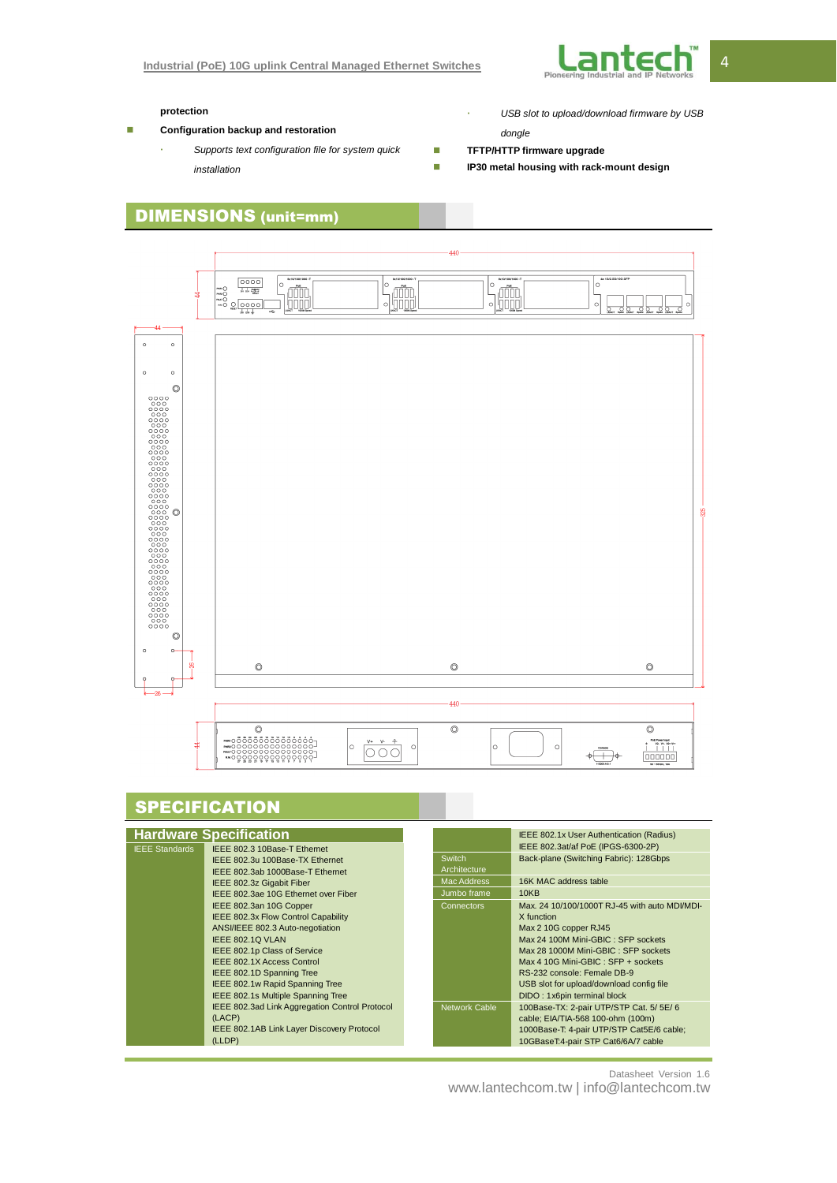

## **protection**

- **Configuration backup and restoration** 
	- *Supports text configuration file for system quick installation*
- *USB slot to upload/download firmware by USB*

## *dongle*

- **TETP/HTTP firmware upgrade**
- **IP30 metal housing with rack-mount design**

# DIMENSIONS (unit=mm)



# **SPECIFICATION**

|                       | <b>Hardware Specification</b>                  |                      | IEEE 802.1x User Authentication (Radius)      |
|-----------------------|------------------------------------------------|----------------------|-----------------------------------------------|
| <b>IEEE Standards</b> | IEEE 802.3 10Base-T Ethernet                   |                      | IEEE 802.3at/af PoE (IPGS-6300-2P)            |
|                       | IEEE 802.3u 100Base-TX Ethernet                | <b>Switch</b>        | Back-plane (Switching Fabric): 128Gbps        |
|                       | IEEE 802.3ab 1000Base-T Ethernet               | Architecture         |                                               |
|                       | IEEE 802.3z Gigabit Fiber                      | Mac Address          | 16K MAC address table                         |
|                       | IEEE 802.3ae 10G Ethernet over Fiber           | Jumbo frame          | 10KB                                          |
|                       | IEEE 802.3an 10G Copper                        | <b>Connectors</b>    | Max. 24 10/100/1000T RJ-45 with auto MDI/MDI- |
|                       | IEEE 802.3x Flow Control Capability            |                      | X function                                    |
|                       | ANSI/IEEE 802.3 Auto-negotiation               |                      | Max 2 10G copper RJ45                         |
|                       | IEEE 802.1Q VLAN                               |                      | Max 24 100M Mini-GBIC: SFP sockets            |
|                       | IEEE 802.1p Class of Service                   |                      | Max 28 1000M Mini-GBIC: SFP sockets           |
|                       | <b>IEEE 802.1X Access Control</b>              |                      | Max 4 10G Mini-GBIC: SFP + sockets            |
|                       | IEEE 802.1D Spanning Tree                      |                      | RS-232 console: Female DB-9                   |
|                       | IEEE 802.1w Rapid Spanning Tree                |                      | USB slot for upload/download config file      |
|                       | <b>IEEE 802.1s Multiple Spanning Tree</b>      |                      | DIDO: 1x6pin terminal block                   |
|                       | IEEE 802.3ad Link Aggregation Control Protocol | <b>Network Cable</b> | 100Base-TX: 2-pair UTP/STP Cat. 5/ 5E/ 6      |
|                       | (LACP)                                         |                      | cable; EIA/TIA-568 100-ohm (100m)             |
|                       | IEEE 802.1AB Link Layer Discovery Protocol     |                      | 1000Base-T: 4-pair UTP/STP Cat5E/6 cable;     |
|                       | (LLDP)                                         |                      | 10GBaseT:4-pair STP Cat6/6A/7 cable           |

Datasheet Version 1.6

www.lantechcom.tw | info@lantechcom.tw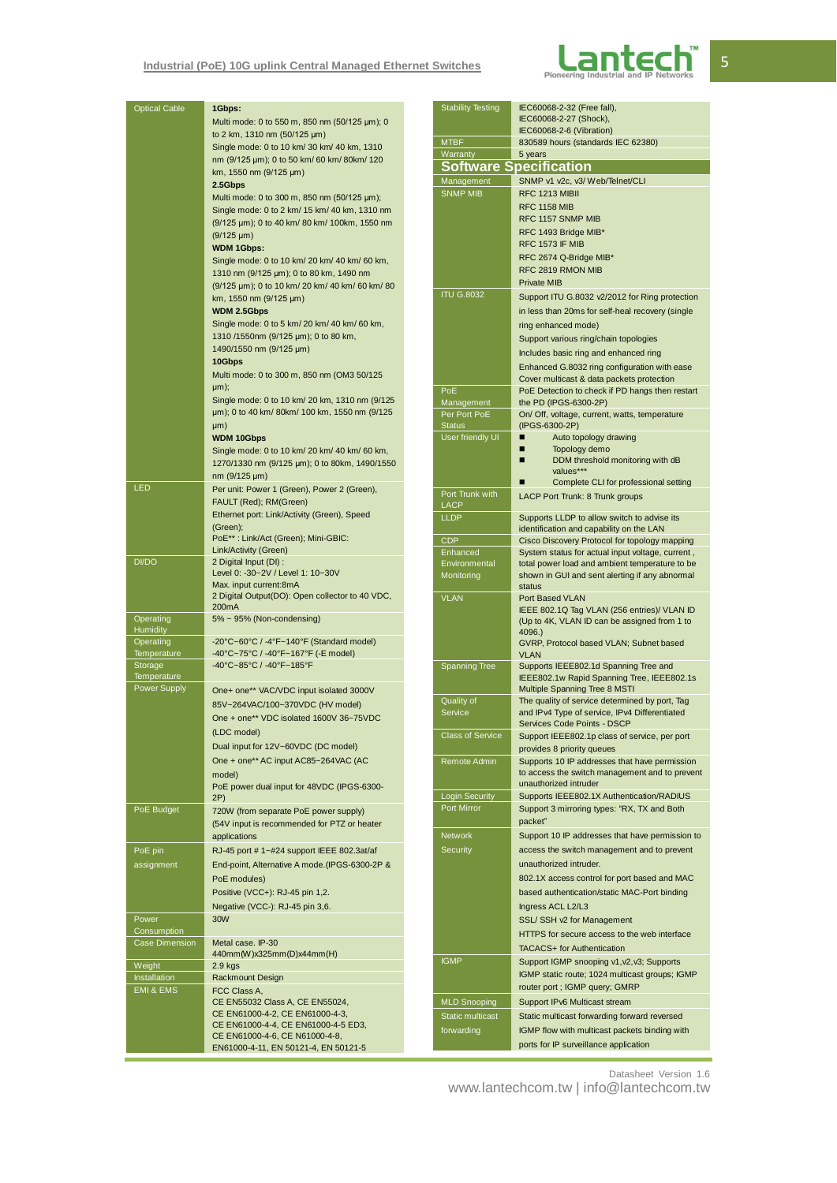## **Industrial (PoE) 10G uplink Central Managed Ethernet Switches**



| <b>Optical Cable</b>         | 1Gbps:                                                                             | <b>Stability Testing</b> | IEC60068-2-32 (Free fall),                                                                   |
|------------------------------|------------------------------------------------------------------------------------|--------------------------|----------------------------------------------------------------------------------------------|
|                              | Multi mode: 0 to 550 m, 850 nm (50/125 µm); 0                                      |                          | IEC60068-2-27 (Shock),                                                                       |
|                              | to 2 km, 1310 nm (50/125 µm)                                                       |                          | IEC60068-2-6 (Vibration)                                                                     |
|                              | Single mode: 0 to 10 km/ 30 km/ 40 km, 1310                                        | <b>MTBF</b>              | 830589 hours (standards IEC 62380)                                                           |
|                              | nm (9/125 µm); 0 to 50 km/ 60 km/ 80 km/ 120                                       | Warranty                 | 5 years                                                                                      |
|                              | km, 1550 nm (9/125 µm)                                                             |                          | <b>Software Specification</b>                                                                |
|                              | 2.5Gbps                                                                            | Management               | SNMP v1 v2c, v3/ Web/Telnet/CLI                                                              |
|                              | Multi mode: 0 to 300 m, 850 nm (50/125 µm);                                        | <b>SNMP MIB</b>          | RFC 1213 MIBII                                                                               |
|                              | Single mode: 0 to 2 km/ 15 km/ 40 km, 1310 nm                                      |                          | <b>RFC 1158 MIB</b>                                                                          |
|                              | (9/125 µm); 0 to 40 km/ 80 km/ 100km, 1550 nm                                      |                          | RFC 1157 SNMP MIB                                                                            |
|                              | $(9/125 \mu m)$                                                                    |                          | RFC 1493 Bridge MIB*                                                                         |
|                              |                                                                                    |                          | <b>RFC 1573 IF MIB</b>                                                                       |
|                              | <b>WDM 1Gbps:</b>                                                                  |                          | RFC 2674 Q-Bridge MIB*                                                                       |
|                              | Single mode: 0 to 10 km/ 20 km/ 40 km/ 60 km,                                      |                          | RFC 2819 RMON MIB                                                                            |
|                              | 1310 nm (9/125 µm); 0 to 80 km, 1490 nm                                            |                          | <b>Private MIB</b>                                                                           |
|                              | (9/125 µm); 0 to 10 km/ 20 km/ 40 km/ 60 km/ 80                                    | <b>ITU G.8032</b>        |                                                                                              |
|                              | km, 1550 nm (9/125 µm)                                                             |                          | Support ITU G.8032 v2/2012 for Ring protection                                               |
|                              | WDM 2.5Gbps                                                                        |                          | in less than 20ms for self-heal recovery (single                                             |
|                              | Single mode: 0 to 5 km/ 20 km/ 40 km/ 60 km,                                       |                          | ring enhanced mode)                                                                          |
|                              | 1310/1550nm (9/125 µm); 0 to 80 km,                                                |                          | Support various ring/chain topologies                                                        |
|                              | 1490/1550 nm (9/125 µm)                                                            |                          | Includes basic ring and enhanced ring                                                        |
|                              | 10Gbps                                                                             |                          | Enhanced G.8032 ring configuration with ease                                                 |
|                              | Multi mode: 0 to 300 m, 850 nm (OM3 50/125                                         |                          |                                                                                              |
|                              | µm);                                                                               | PoE                      | Cover multicast & data packets protection<br>PoE Detection to check if PD hangs then restart |
|                              | Single mode: 0 to 10 km/ 20 km, 1310 nm (9/125)                                    | Management               | the PD (IPGS-6300-2P)                                                                        |
|                              | um); 0 to 40 km/80km/100 km, 1550 nm (9/125                                        | Per Port PoE             | On/ Off, voltage, current, watts, temperature                                                |
|                              | µm)                                                                                | <b>Status</b>            | (IPGS-6300-2P)                                                                               |
|                              | <b>WDM 10Gbps</b>                                                                  | <b>User friendly UI</b>  | Ξ<br>Auto topology drawing                                                                   |
|                              |                                                                                    |                          | п<br>Topology demo                                                                           |
|                              | Single mode: 0 to 10 km/ 20 km/ 40 km/ 60 km,                                      |                          | п<br>DDM threshold monitoring with dB                                                        |
|                              | 1270/1330 nm (9/125 µm); 0 to 80km, 1490/1550                                      |                          | values***                                                                                    |
|                              | nm (9/125 µm)                                                                      |                          | Complete CLI for professional setting<br>Ξ                                                   |
| LED                          | Per unit: Power 1 (Green), Power 2 (Green),                                        | Port Trunk with          | LACP Port Trunk: 8 Trunk groups                                                              |
|                              | FAULT (Red); RM(Green)                                                             | LACP                     |                                                                                              |
|                              | Ethernet port: Link/Activity (Green), Speed                                        | <b>LLDP</b>              | Supports LLDP to allow switch to advise its                                                  |
|                              | (Green);                                                                           |                          | identification and capability on the LAN                                                     |
|                              | PoE**: Link/Act (Green); Mini-GBIC:                                                | <b>CDP</b>               | Cisco Discovery Protocol for topology mapping                                                |
|                              | Link/Activity (Green)                                                              | Enhanced                 | System status for actual input voltage, current,                                             |
| DI/DO                        | 2 Digital Input (DI) :                                                             | Environmental            | total power load and ambient temperature to be                                               |
|                              | Level 0: -30~2V / Level 1: 10~30V                                                  | Monitoring               | shown in GUI and sent alerting if any abnormal                                               |
|                              | Max. input current:8mA                                                             |                          | status                                                                                       |
|                              | 2 Digital Output(DO): Open collector to 40 VDC,                                    | <b>VLAN</b>              | Port Based VLAN                                                                              |
|                              | 200mA                                                                              |                          | IEEE 802.1Q Tag VLAN (256 entries)/ VLAN ID                                                  |
| Operating                    | 5% ~ 95% (Non-condensing)                                                          |                          | (Up to 4K, VLAN ID can be assigned from 1 to                                                 |
| <b>Humidity</b><br>Operating | $-20^{\circ}$ C $-60^{\circ}$ C / $-4^{\circ}$ F $-140^{\circ}$ F (Standard model) |                          | 4096.)                                                                                       |
| Temperature                  | -40°C~75°C / -40°F~167°F (-E model)                                                |                          | GVRP, Protocol based VLAN; Subnet based<br><b>VLAN</b>                                       |
| Storage                      | -40°C~85°C / -40°F~185°F                                                           | <b>Spanning Tree</b>     | Supports IEEE802.1d Spanning Tree and                                                        |
| Temperature                  |                                                                                    |                          | IEEE802.1w Rapid Spanning Tree, IEEE802.1s                                                   |
| <b>Power Supply</b>          | One+ one** VAC/VDC input isolated 3000V                                            |                          | Multiple Spanning Tree 8 MSTI                                                                |
|                              |                                                                                    | Quality of               | The quality of service determined by port, Tag                                               |
|                              | 85V~264VAC/100~370VDC (HV model)                                                   | Service                  | and IPv4 Type of service, IPv4 Differentiated                                                |
|                              | One + one** VDC isolated 1600V 36~75VDC                                            |                          | Services Code Points - DSCP                                                                  |
|                              | (LDC model)                                                                        | Class of Service         | Support IEEE802.1p class of service, per port                                                |
|                              | Dual input for 12V~60VDC (DC model)                                                |                          | provides 8 priority queues                                                                   |
|                              | One + one** AC input AC85~264VAC (AC                                               | Remote Admin             | Supports 10 IP addresses that have permission                                                |
|                              | model)                                                                             |                          | to access the switch management and to prevent                                               |
|                              |                                                                                    |                          | unauthorized intruder                                                                        |
|                              | PoE power dual input for 48VDC (IPGS-6300-<br>2P)                                  | <b>Login Security</b>    | Supports IEEE802.1X Authentication/RADIUS                                                    |
| PoE Budget                   |                                                                                    | Port Mirror              | Support 3 mirroring types: "RX, TX and Both                                                  |
|                              | 720W (from separate PoE power supply)                                              |                          | packet"                                                                                      |
|                              | (54V input is recommended for PTZ or heater                                        |                          |                                                                                              |
|                              | applications                                                                       | <b>Network</b>           | Support 10 IP addresses that have permission to                                              |
| PoE pin                      | RJ-45 port #1~#24 support IEEE 802.3at/af                                          | Security                 | access the switch management and to prevent                                                  |
| assignment                   | End-point, Alternative A mode.(IPGS-6300-2P &                                      |                          | unauthorized intruder.                                                                       |
|                              | PoE modules)                                                                       |                          | 802.1X access control for port based and MAC                                                 |
|                              | Positive (VCC+): RJ-45 pin 1,2.                                                    |                          | based authentication/static MAC-Port binding                                                 |
|                              |                                                                                    |                          |                                                                                              |
|                              | Negative (VCC-): RJ-45 pin 3,6.                                                    |                          | Ingress ACL L2/L3                                                                            |
| Power                        | 30W                                                                                |                          | SSL/ SSH v2 for Management                                                                   |
| Consumption                  |                                                                                    |                          | HTTPS for secure access to the web interface                                                 |
| Case Dimension               | Metal case. IP-30                                                                  |                          | <b>TACACS+</b> for Authentication                                                            |
|                              | 440mm(W)x325mm(D)x44mm(H)                                                          | <b>IGMP</b>              | Support IGMP snooping v1, v2, v3; Supports                                                   |
| Weight                       | $2.9$ kgs                                                                          |                          | IGMP static route; 1024 multicast groups; IGMP                                               |
| Installation                 | <b>Rackmount Design</b>                                                            |                          | router port; IGMP query; GMRP                                                                |
| EMI & EMS                    | FCC Class A,                                                                       |                          |                                                                                              |
|                              | CE EN55032 Class A, CE EN55024,                                                    | <b>MLD Snooping</b>      | Support IPv6 Multicast stream                                                                |
|                              | CE EN61000-4-2, CE EN61000-4-3,                                                    | <b>Static multicast</b>  | Static multicast forwarding forward reversed                                                 |
|                              | CE EN61000-4-4, CE EN61000-4-5 ED3,<br>CE EN61000-4-6, CE N61000-4-8,              | forwarding               | IGMP flow with multicast packets binding with                                                |
|                              | EN61000-4-11, EN 50121-4, EN 50121-5                                               |                          | ports for IP surveillance application                                                        |
|                              |                                                                                    |                          |                                                                                              |

.1X Authentication/RADIUS g types: "RX, TX and Both resses that have permission to management and to prevent der. atrol for port based and MAC on/static MAC-Port binding **Sanagement** access to the web interface entication oping v1,v2,v3; Supports 1024 multicast groups; IGMP query; GMRP cast stream warding forward reversed Iticast packets binding with ance application

Datasheet Version 1.6

www.lantechcom.tw | info@lantechcom.tw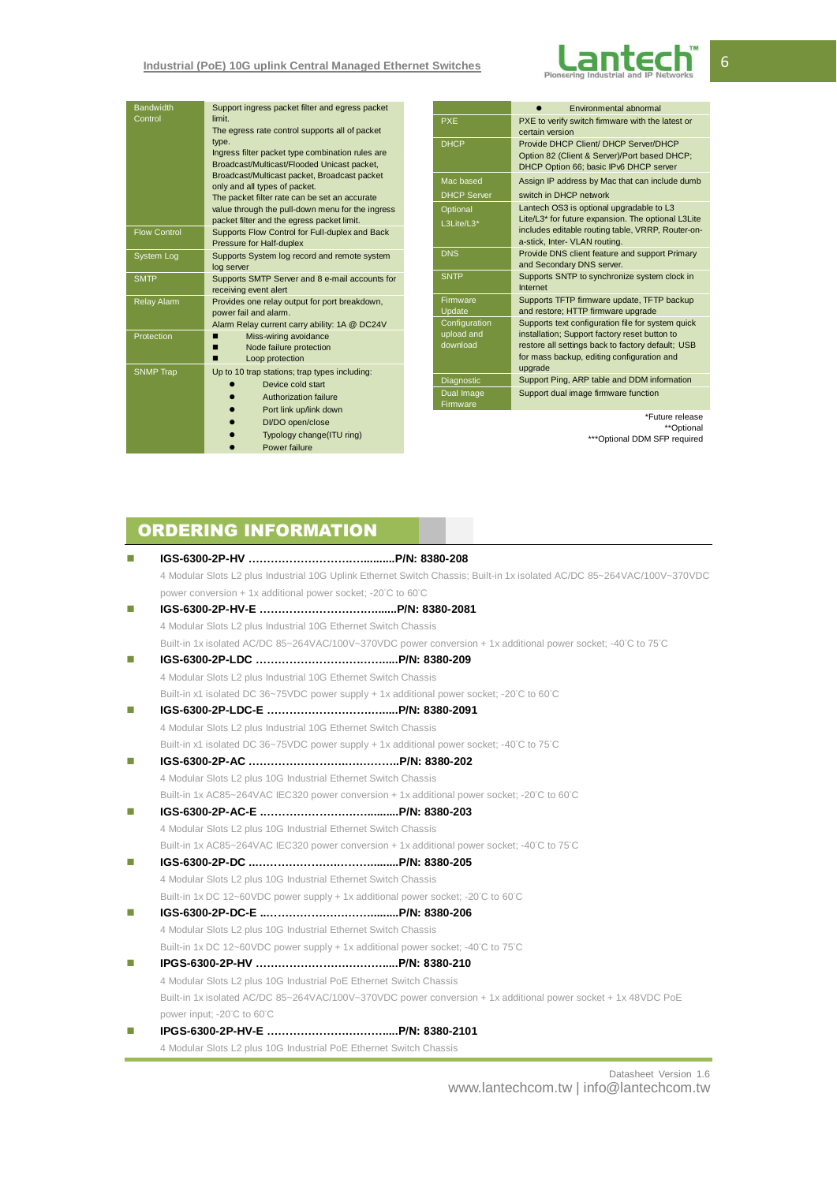

| <b>Bandwidth</b><br>Control | Support ingress packet filter and egress packet<br>limit<br>The egress rate control supports all of packet<br>type.<br>Ingress filter packet type combination rules are<br>Broadcast/Multicast/Flooded Unicast packet,<br>Broadcast/Multicast packet, Broadcast packet<br>only and all types of packet.<br>The packet filter rate can be set an accurate<br>value through the pull-down menu for the ingress<br>packet filter and the egress packet limit. |
|-----------------------------|------------------------------------------------------------------------------------------------------------------------------------------------------------------------------------------------------------------------------------------------------------------------------------------------------------------------------------------------------------------------------------------------------------------------------------------------------------|
| <b>Flow Control</b>         | Supports Flow Control for Full-duplex and Back<br>Pressure for Half-duplex                                                                                                                                                                                                                                                                                                                                                                                 |
| System Log                  | Supports System log record and remote system<br>log server                                                                                                                                                                                                                                                                                                                                                                                                 |
| <b>SMTP</b>                 | Supports SMTP Server and 8 e-mail accounts for<br>receiving event alert                                                                                                                                                                                                                                                                                                                                                                                    |
| <b>Relay Alam</b>           | Provides one relay output for port breakdown,<br>power fail and alarm.<br>Alarm Relay current carry ability: 1A @ DC24V                                                                                                                                                                                                                                                                                                                                    |
| Protection                  | Miss-wiring avoidance<br>Node failure protection<br>Loop protection                                                                                                                                                                                                                                                                                                                                                                                        |
| <b>SNMP Trap</b>            | Up to 10 trap stations; trap types including:<br>Device cold start<br>Authorization failure<br>Port link up/link down<br>DI/DO open/close<br>Typology change(ITU ring)<br>Power failure                                                                                                                                                                                                                                                                    |

|                                         | Environmental abnormal                                                                                                                                                                                           |
|-----------------------------------------|------------------------------------------------------------------------------------------------------------------------------------------------------------------------------------------------------------------|
| <b>PXE</b>                              | PXE to verify switch firmware with the latest or<br>certain version                                                                                                                                              |
| <b>DHCP</b>                             | Provide DHCP Client/ DHCP Server/DHCP<br>Option 82 (Client & Server)/Port based DHCP;<br>DHCP Option 66: basic IPv6 DHCP server                                                                                  |
| Mac based<br><b>DHCP Server</b>         | Assign IP address by Mac that can include dumb<br>switch in DHCP network                                                                                                                                         |
| Optional<br>L3Lite/L3*                  | Lantech OS3 is optional upgradable to L3<br>Lite/L3* for future expansion. The optional L3Lite<br>includes editable routing table, VRRP, Router-on-<br>a-stick, Inter- VLAN routing.                             |
| <b>DNS</b>                              | Provide DNS client feature and support Primary<br>and Secondary DNS server.                                                                                                                                      |
| <b>SNTP</b>                             | Supports SNTP to synchronize system clock in<br>Internet                                                                                                                                                         |
| Firmware<br>Update                      | Supports TFTP firmware update, TFTP backup<br>and restore; HTTP firmware upgrade                                                                                                                                 |
| Configuration<br>upload and<br>download | Supports text configuration file for system quick<br>installation; Support factory reset button to<br>restore all settings back to factory default; USB<br>for mass backup, editing configuration and<br>upgrade |
| Diagnostic                              | Support Ping, ARP table and DDM information                                                                                                                                                                      |
| Dual Image<br>Firmware                  | Support dual image firmware function                                                                                                                                                                             |
|                                         |                                                                                                                                                                                                                  |

\*Future release \*\*Optional \*\*\*Optional DDM SFP required

# ORDERING INFORMATION

| П  |                                                                                                                         |  |
|----|-------------------------------------------------------------------------------------------------------------------------|--|
|    | 4 Modular Slots L2 plus Industrial 10G Uplink Ethernet Switch Chassis; Built-in 1x isolated AC/DC 85~264VAC/100V~370VDC |  |
|    | power conversion + 1x additional power socket; -20°C to 60°C                                                            |  |
| П  |                                                                                                                         |  |
|    | 4 Modular Slots L2 plus Industrial 10G Ethernet Switch Chassis                                                          |  |
|    | Built-in 1x isolated AC/DC 85~264VAC/100V~370VDC power conversion + 1x additional power socket; -40°C to 75°C           |  |
| п  |                                                                                                                         |  |
|    | 4 Modular Slots L2 plus Industrial 10G Ethernet Switch Chassis                                                          |  |
|    | Built-in x1 isolated DC 36~75VDC power supply + 1x additional power socket; -20°C to 60°C                               |  |
| П  |                                                                                                                         |  |
|    | 4 Modular Slots L2 plus Industrial 10G Ethernet Switch Chassis                                                          |  |
|    | Built-in x1 isolated DC 36~75VDC power supply + 1x additional power socket; -40°C to 75°C                               |  |
| п  |                                                                                                                         |  |
|    | 4 Modular Slots L2 plus 10G Industrial Ethernet Switch Chassis                                                          |  |
|    | Built-in 1x AC85~264VAC IEC320 power conversion + 1x additional power socket; -20°C to 60°C                             |  |
| T. |                                                                                                                         |  |
|    | 4 Modular Slots L2 plus 10G Industrial Ethernet Switch Chassis                                                          |  |
|    | Built-in 1x AC85~264VAC IEC320 power conversion + 1x additional power socket; -40°C to 75°C                             |  |
| m. |                                                                                                                         |  |
|    | 4 Modular Slots L2 plus 10G Industrial Ethernet Switch Chassis                                                          |  |
|    | Built-in 1x DC 12~60VDC power supply + 1x additional power socket; -20°C to 60°C                                        |  |
| m. |                                                                                                                         |  |
|    | 4 Modular Slots L2 plus 10G Industrial Ethernet Switch Chassis                                                          |  |
|    | Built-in 1x DC 12~60VDC power supply + 1x additional power socket; -40°C to 75°C                                        |  |
| m. |                                                                                                                         |  |
|    | 4 Modular Slots L2 plus 10G Industrial PoE Ethernet Switch Chassis                                                      |  |
|    | Built-in 1x isolated AC/DC 85~264VAC/100V~370VDC power conversion + 1x additional power socket + 1x 48VDC PoE           |  |
|    | power input; -20°C to 60°C                                                                                              |  |
| п  |                                                                                                                         |  |
|    | 4 Modular Slots L2 plus 10G Industrial PoE Ethernet Switch Chassis                                                      |  |

Datasheet Version 1.6 www.lantechcom.tw | info@lantechcom.tw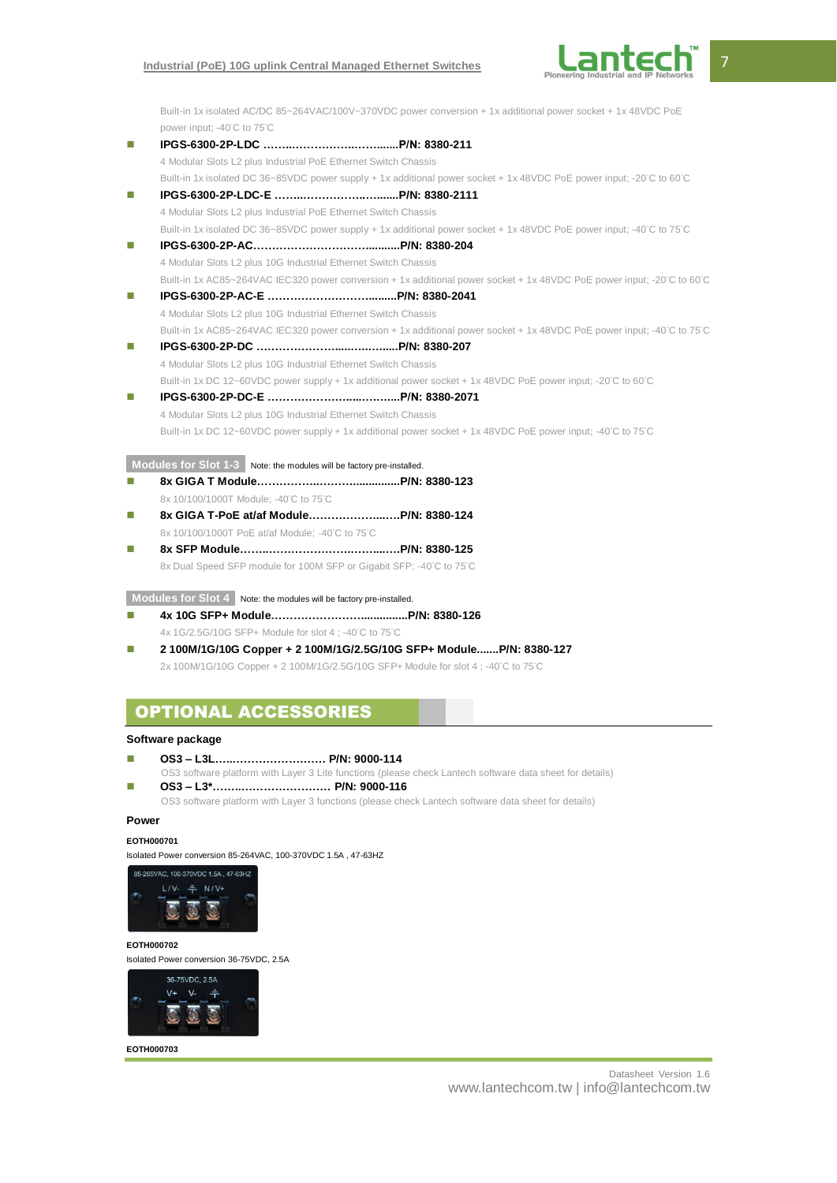## **Industrial (PoE) 10G uplink Central Managed Ethernet Switches**



Built-in 1x isolated AC/DC 85~264VAC/100V~370VDC power conversion + 1x additional power socket + 1x 48VDC PoE power input; -40°C to 75°C

- **IPGS-6300-2P-LDC ……..……………..…….......P/N: 8380-211** 4 Modular Slots L2 plus Industrial PoE Ethernet Switch Chassis Built-in 1x isolated DC 36~85VDC power supply + 1x additional power socket + 1x 48VDC PoE power input; -20°C to 60°C
- **IPGS-6300-2P-LDC-E ……..……………..….......P/N: 8380-2111** 4 Modular Slots L2 plus Industrial PoE Ethernet Switch Chassis Built-in 1x isolated DC 36~85VDC power supply + 1x additional power socket + 1x 48VDC PoE power input; -40°C to 75°C
- **IPGS-6300-2P-AC…………………………...........P/N: 8380-204** 4 Modular Slots L2 plus 10G Industrial Ethernet Switch Chassis Built-in 1x AC85~264VAC IEC320 power conversion + 1x additional power socket + 1x 48VDC PoE power input; -20°C to 60°C
- **IPGS-6300-2P-AC-E ……………………….........P/N: 8380-2041** 4 Modular Slots L2 plus 10G Industrial Ethernet Switch Chassis Built-in 1x AC85~264VAC IEC320 power conversion + 1x additional power socket + 1x 48VDC PoE power input; -40°C to 75°C
- **IPGS-6300-2P-DC ………………….....…..…......P/N: 8380-207** 4 Modular Slots L2 plus 10G Industrial Ethernet Switch Chassis Built-in 1x DC 12~60VDC power supply + 1x additional power socket + 1x 48VDC PoE power input; -20°C to 60°C
- **IPGS-6300-2P-DC-E ………………….....….…....P/N: 8380-2071** 4 Modular Slots L2 plus 10G Industrial Ethernet Switch Chassis Built-in 1x DC 12~60VDC power supply + 1x additional power socket + 1x 48VDC PoE power input; -40°C to 75°C

**Modules for Slot 1-3** Note: the modules will be factory pre-installed.

- **8x GIGA T Module……………..………...............P/N: 8380-123** 8x 10/100/1000T Module; -40°C to 75°C
- **8x GIGA T-PoE at/af Module………………...….P/N: 8380-124** 8x 10/100/1000T PoE at/af Module; -40°C to 75°C
- **8x SFP Module……..………………….……....….P/N: 8380-125** 8x Dual Speed SFP module for 100M SFP or Gigabit SFP; -40°C to 75°C

**Modules for Slot 4** Note: the modules will be factory pre-installed.

- **4x 10G SFP+ Module……………………...............P/N: 8380-126** 4x 1G/2.5G/10G SFP+ Module for slot 4 ; -40°C to 75°C
- **2 100M/1G/10G Copper + 2 100M/1G/2.5G/10G SFP+ Module.......P/N: 8380-127** 2x 100M/1G/10G Copper + 2 100M/1G/2.5G/10G SFP+ Module for slot 4 ; -40°C to 75°C

## OPTIONAL ACCESSORIES

## **Software package**

- **OS3 – L3L…..……………………. P/N: 9000-114**
- OS3 software platform with Layer 3 Lite functions (please check Lantech software data sheet for details)
- **OS3 – L3\*……..…………………… P/N: 9000-116** OS3 software platform with Layer 3 functions (please check Lantech software data sheet for details)

## **Power**

## **EOTH000701**

Isolated Power conversion 85-264VAC, 100-370VDC 1.5A , 47-63HZ



#### **EOTH000702**

Isolated Power conversion 36-75VDC, 2.5A



**EOTH000703**